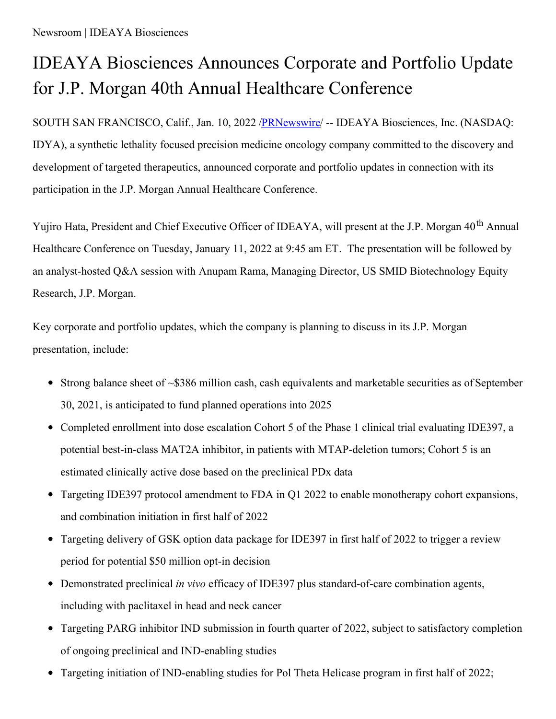## IDEAYA Biosciences Announces Corporate and Portfolio Update for J.P. Morgan 40th Annual Healthcare Conference

SOUTH SAN FRANCISCO, Calif., Jan. 10, 2022 [/PRNewswire](http://www.prnewswire.com/)/ -- IDEAYA Biosciences, Inc. (NASDAQ: IDYA), a synthetic lethality focused precision medicine oncology company committed to the discovery and development of targeted therapeutics, announced corporate and portfolio updates in connection with its participation in the J.P. Morgan Annual Healthcare Conference.

Yujiro Hata, President and Chief Executive Officer of IDEAYA, will present at the J.P. Morgan 40<sup>th</sup> Annual Healthcare Conference on Tuesday, January 11, 2022 at 9:45 am ET. The presentation will be followed by an analyst-hosted Q&A session with Anupam Rama, Managing Director, US SMID Biotechnology Equity Research, J.P. Morgan.

Key corporate and portfolio updates, which the company is planning to discuss in its J.P. Morgan presentation, include:

- Strong balance sheet of ~\$386 million cash, cash equivalents and marketable securities as of September 30, 2021, is anticipated to fund planned operations into 2025
- Completed enrollment into dose escalation Cohort 5 of the Phase 1 clinical trial evaluating IDE397, a potential best-in-class MAT2A inhibitor, in patients with MTAP-deletion tumors; Cohort 5 is an estimated clinically active dose based on the preclinical PDx data
- Targeting IDE397 protocol amendment to FDA in Q1 2022 to enable monotherapy cohort expansions, and combination initiation in first half of 2022
- Targeting delivery of GSK option data package for IDE397 in first half of 2022 to trigger a review period for potential \$50 million opt-in decision
- Demonstrated preclinical *in vivo* efficacy of IDE397 plus standard-of-care combination agents, including with paclitaxel in head and neck cancer
- Targeting PARG inhibitor IND submission in fourth quarter of 2022, subject to satisfactory completion of ongoing preclinical and IND-enabling studies
- $\bullet$ Targeting initiation of IND-enabling studies for Pol Theta Helicase program in first half of 2022;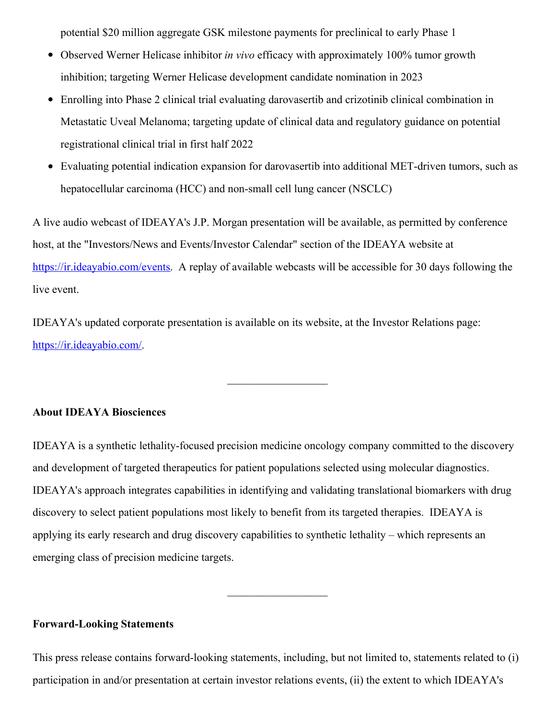potential \$20 million aggregate GSK milestone payments for preclinical to early Phase 1

- $\bullet$ Observed Werner Helicase inhibitor *in vivo* efficacy with approximately 100% tumor growth inhibition; targeting Werner Helicase development candidate nomination in 2023
- Enrolling into Phase 2 clinical trial evaluating darovasertib and crizotinib clinical combination in Metastatic Uveal Melanoma; targeting update of clinical data and regulatory guidance on potential registrational clinical trial in first half 2022
- Evaluating potential indication expansion for darovasertib into additional MET-driven tumors, such as hepatocellular carcinoma (HCC) and non-small cell lung cancer (NSCLC)

A live audio webcast of IDEAYA's J.P. Morgan presentation will be available, as permitted by conference host, at the "Investors/News and Events/Investor Calendar" section of the IDEAYA website at [https://ir.ideayabio.com/events](https://c212.net/c/link/?t=0&l=en&o=3407125-1&h=2492116396&u=https%3A%2F%2Fir.ideayabio.com%2Fevents&a=https%3A%2F%2Fir.ideayabio.com%2Fevents). A replay of available webcasts will be accessible for 30 days following the live event.

IDEAYA's updated corporate presentation is available on its website, at the Investor Relations page: [https://ir.ideayabio.com/](https://c212.net/c/link/?t=0&l=en&o=3407125-1&h=1328254007&u=https%3A%2F%2Fir.ideayabio.com%2F&a=https%3A%2F%2Fir.ideayabio.com%2F).

## **About IDEAYA Biosciences**

IDEAYA is a synthetic lethality-focused precision medicine oncology company committed to the discovery and development of targeted therapeutics for patient populations selected using molecular diagnostics. IDEAYA's approach integrates capabilities in identifying and validating translational biomarkers with drug discovery to select patient populations most likely to benefit from its targeted therapies. IDEAYA is applying its early research and drug discovery capabilities to synthetic lethality – which represents an emerging class of precision medicine targets.

 $\frac{1}{2}$ 

## **Forward-Looking Statements**

This press release contains forward-looking statements, including, but not limited to, statements related to (i) participation in and/or presentation at certain investor relations events, (ii) the extent to which IDEAYA's